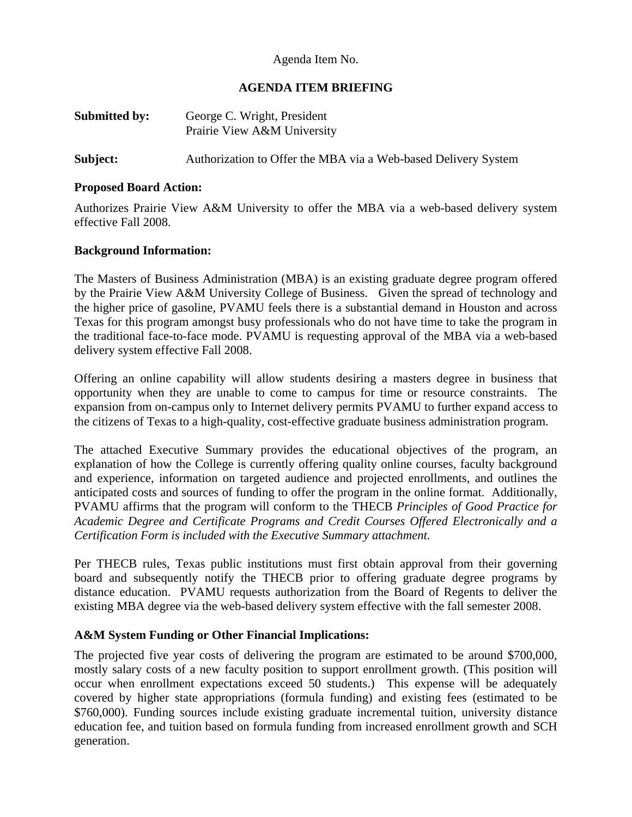# Agenda Item No.

# **AGENDA ITEM BRIEFING**

| <b>Submitted by:</b> | George C. Wright, President |
|----------------------|-----------------------------|
|                      | Prairie View A&M University |

# **Subject:** Authorization to Offer the MBA via a Web-based Delivery System

## **Proposed Board Action:**

Authorizes Prairie View A&M University to offer the MBA via a web-based delivery system effective Fall 2008.

# **Background Information:**

The Masters of Business Administration (MBA) is an existing graduate degree program offered by the Prairie View A&M University College of Business. Given the spread of technology and the higher price of gasoline, PVAMU feels there is a substantial demand in Houston and across Texas for this program amongst busy professionals who do not have time to take the program in the traditional face-to-face mode. PVAMU is requesting approval of the MBA via a web-based delivery system effective Fall 2008.

Offering an online capability will allow students desiring a masters degree in business that opportunity when they are unable to come to campus for time or resource constraints. The expansion from on-campus only to Internet delivery permits PVAMU to further expand access to the citizens of Texas to a high-quality, cost-effective graduate business administration program.

The attached Executive Summary provides the educational objectives of the program, an explanation of how the College is currently offering quality online courses, faculty background and experience, information on targeted audience and projected enrollments, and outlines the anticipated costs and sources of funding to offer the program in the online format. Additionally, PVAMU affirms that the program will conform to the THECB *Principles of Good Practice for Academic Degree and Certificate Programs and Credit Courses Offered Electronically and a Certification Form is included with the Executive Summary attachment.* 

Per THECB rules, Texas public institutions must first obtain approval from their governing board and subsequently notify the THECB prior to offering graduate degree programs by distance education. PVAMU requests authorization from the Board of Regents to deliver the existing MBA degree via the web-based delivery system effective with the fall semester 2008.

# **A&M System Funding or Other Financial Implications:**

The projected five year costs of delivering the program are estimated to be around \$700,000, mostly salary costs of a new faculty position to support enrollment growth. (This position will occur when enrollment expectations exceed 50 students.) This expense will be adequately covered by higher state appropriations (formula funding) and existing fees (estimated to be \$760,000). Funding sources include existing graduate incremental tuition, university distance education fee, and tuition based on formula funding from increased enrollment growth and SCH generation.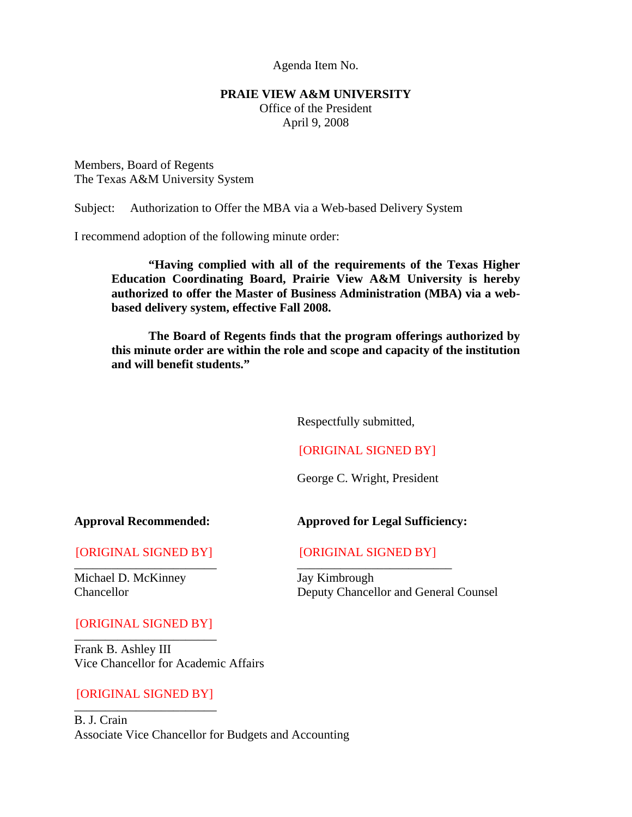Agenda Item No.

### **PRAIE VIEW A&M UNIVERSITY**

Office of the President April 9, 2008

Members, Board of Regents The Texas A&M University System

Subject: Authorization to Offer the MBA via a Web-based Delivery System

I recommend adoption of the following minute order:

**"Having complied with all of the requirements of the Texas Higher Education Coordinating Board, Prairie View A&M University is hereby authorized to offer the Master of Business Administration (MBA) via a webbased delivery system, effective Fall 2008.** 

**The Board of Regents finds that the program offerings authorized by this minute order are within the role and scope and capacity of the institution and will benefit students."** 

Respectfully submitted,

# [ORIGINAL SIGNED BY]

George C. Wright, President

#### **Approval Recommended: Approved for Legal Sufficiency:**

# [ORIGINAL SIGNED BY] [ORIGINAL SIGNED BY]

Michael D. McKinney Jay Kimbrough

# \_\_\_\_\_\_\_\_\_\_\_\_\_\_\_\_\_\_\_\_\_\_\_ \_\_\_\_\_\_\_\_\_\_\_\_\_\_\_\_\_\_\_\_\_\_\_\_\_

Chancellor Deputy Chancellor and General Counsel

\_\_\_\_\_\_\_\_\_\_\_\_\_\_\_\_\_\_\_\_\_\_\_ [ORIGINAL SIGNED BY]

Frank B. Ashley III Vice Chancellor for Academic Affairs

#### \_\_\_\_\_\_\_\_\_\_\_\_\_\_\_\_\_\_\_\_\_\_\_ [ORIGINAL SIGNED BY]

B. J. Crain Associate Vice Chancellor for Budgets and Accounting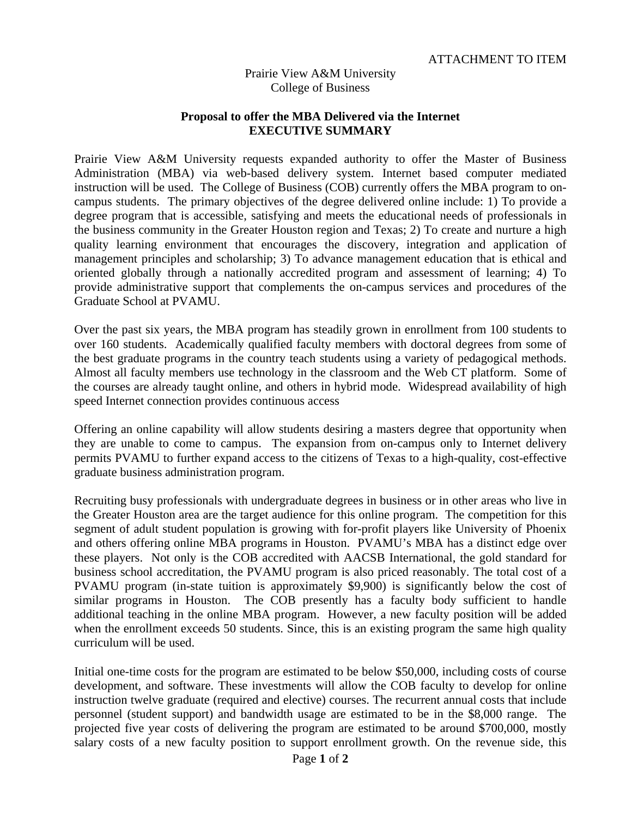# Prairie View A&M University College of Business

# **Proposal to offer the MBA Delivered via the Internet EXECUTIVE SUMMARY**

Prairie View A&M University requests expanded authority to offer the Master of Business Administration (MBA) via web-based delivery system. Internet based computer mediated instruction will be used. The College of Business (COB) currently offers the MBA program to oncampus students. The primary objectives of the degree delivered online include: 1) To provide a degree program that is accessible, satisfying and meets the educational needs of professionals in the business community in the Greater Houston region and Texas; 2) To create and nurture a high quality learning environment that encourages the discovery, integration and application of management principles and scholarship; 3) To advance management education that is ethical and oriented globally through a nationally accredited program and assessment of learning; 4) To provide administrative support that complements the on-campus services and procedures of the Graduate School at PVAMU.

Over the past six years, the MBA program has steadily grown in enrollment from 100 students to over 160 students. Academically qualified faculty members with doctoral degrees from some of the best graduate programs in the country teach students using a variety of pedagogical methods. Almost all faculty members use technology in the classroom and the Web CT platform. Some of the courses are already taught online, and others in hybrid mode. Widespread availability of high speed Internet connection provides continuous access

Offering an online capability will allow students desiring a masters degree that opportunity when they are unable to come to campus. The expansion from on-campus only to Internet delivery permits PVAMU to further expand access to the citizens of Texas to a high-quality, cost-effective graduate business administration program.

Recruiting busy professionals with undergraduate degrees in business or in other areas who live in the Greater Houston area are the target audience for this online program. The competition for this segment of adult student population is growing with for-profit players like University of Phoenix and others offering online MBA programs in Houston. PVAMU's MBA has a distinct edge over these players. Not only is the COB accredited with AACSB International, the gold standard for business school accreditation, the PVAMU program is also priced reasonably. The total cost of a PVAMU program (in-state tuition is approximately \$9,900) is significantly below the cost of similar programs in Houston. The COB presently has a faculty body sufficient to handle additional teaching in the online MBA program. However, a new faculty position will be added when the enrollment exceeds 50 students. Since, this is an existing program the same high quality curriculum will be used.

Initial one-time costs for the program are estimated to be below \$50,000, including costs of course development, and software. These investments will allow the COB faculty to develop for online instruction twelve graduate (required and elective) courses. The recurrent annual costs that include personnel (student support) and bandwidth usage are estimated to be in the \$8,000 range. The projected five year costs of delivering the program are estimated to be around \$700,000, mostly salary costs of a new faculty position to support enrollment growth. On the revenue side, this